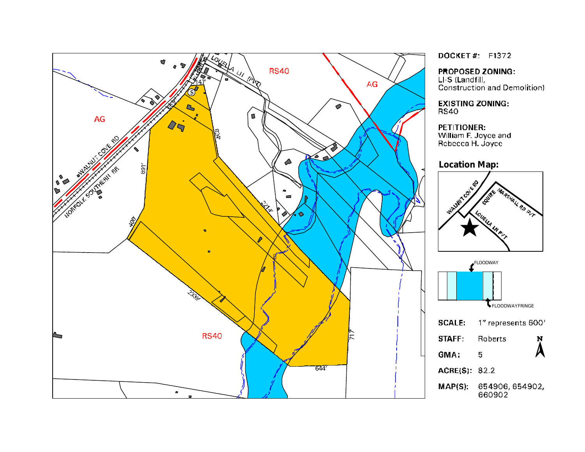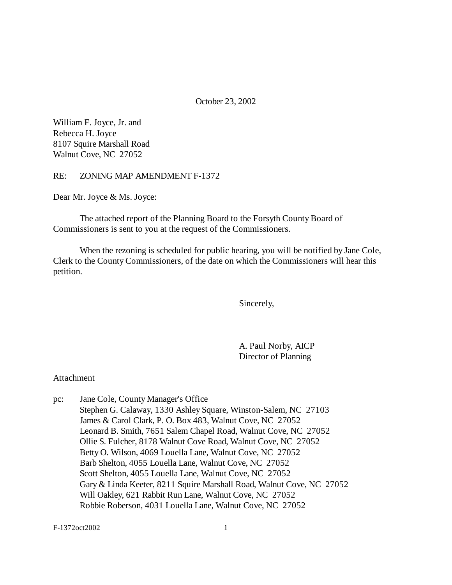October 23, 2002

William F. Joyce, Jr. and Rebecca H. Joyce 8107 Squire Marshall Road Walnut Cove, NC 27052

RE: ZONING MAP AMENDMENT F-1372

Dear Mr. Joyce & Ms. Joyce:

The attached report of the Planning Board to the Forsyth County Board of Commissioners is sent to you at the request of the Commissioners.

When the rezoning is scheduled for public hearing, you will be notified by Jane Cole, Clerk to the County Commissioners, of the date on which the Commissioners will hear this petition.

Sincerely,

A. Paul Norby, AICP Director of Planning

Attachment

pc: Jane Cole, County Manager's Office Stephen G. Calaway, 1330 Ashley Square, Winston-Salem, NC 27103 James & Carol Clark, P. O. Box 483, Walnut Cove, NC 27052 Leonard B. Smith, 7651 Salem Chapel Road, Walnut Cove, NC 27052 Ollie S. Fulcher, 8178 Walnut Cove Road, Walnut Cove, NC 27052 Betty O. Wilson, 4069 Louella Lane, Walnut Cove, NC 27052 Barb Shelton, 4055 Louella Lane, Walnut Cove, NC 27052 Scott Shelton, 4055 Louella Lane, Walnut Cove, NC 27052 Gary & Linda Keeter, 8211 Squire Marshall Road, Walnut Cove, NC 27052 Will Oakley, 621 Rabbit Run Lane, Walnut Cove, NC 27052 Robbie Roberson, 4031 Louella Lane, Walnut Cove, NC 27052

F-1372oct2002 1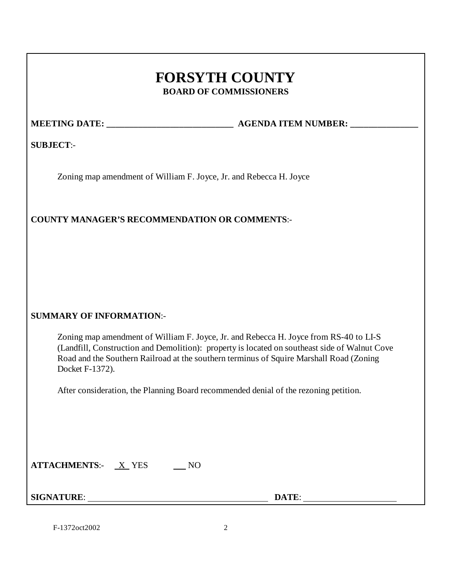# **FORSYTH COUNTY BOARD OF COMMISSIONERS**

**MEETING DATE: \_\_\_\_\_\_\_\_\_\_\_\_\_\_\_\_\_\_\_\_\_\_\_\_\_\_\_\_ AGENDA ITEM NUMBER: \_\_\_\_\_\_\_\_\_\_\_\_\_\_\_**

**SUBJECT**:-

Zoning map amendment of William F. Joyce, Jr. and Rebecca H. Joyce

## **COUNTY MANAGER'S RECOMMENDATION OR COMMENTS**:-

#### **SUMMARY OF INFORMATION**:-

Zoning map amendment of William F. Joyce, Jr. and Rebecca H. Joyce from RS-40 to LI-S (Landfill, Construction and Demolition): property is located on southeast side of Walnut Cove Road and the Southern Railroad at the southern terminus of Squire Marshall Road (Zoning Docket F-1372).

After consideration, the Planning Board recommended denial of the rezoning petition.

| <b>ATTACHMENTS:-</b> | <b>YES</b> |  |
|----------------------|------------|--|
|----------------------|------------|--|

**SIGNATURE**: **DATE**:

F-1372oct2002 2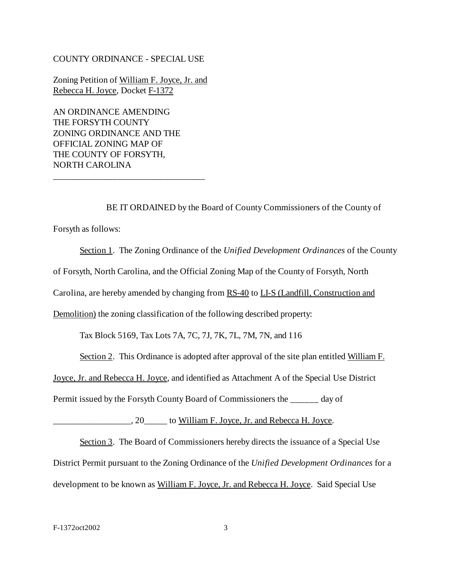#### COUNTY ORDINANCE - SPECIAL USE

Zoning Petition of William F. Joyce, Jr. and Rebecca H. Joyce, Docket F-1372

AN ORDINANCE AMENDING THE FORSYTH COUNTY ZONING ORDINANCE AND THE OFFICIAL ZONING MAP OF THE COUNTY OF FORSYTH, NORTH CAROLINA

\_\_\_\_\_\_\_\_\_\_\_\_\_\_\_\_\_\_\_\_\_\_\_\_\_\_\_\_\_\_\_\_\_

BE IT ORDAINED by the Board of County Commissioners of the County of Forsyth as follows:

Section 1. The Zoning Ordinance of the *Unified Development Ordinances* of the County of Forsyth, North Carolina, and the Official Zoning Map of the County of Forsyth, North Carolina, are hereby amended by changing from RS-40 to LI-S (Landfill, Construction and Demolition) the zoning classification of the following described property:

Tax Block 5169, Tax Lots 7A, 7C, 7J, 7K, 7L, 7M, 7N, and 116

Section 2. This Ordinance is adopted after approval of the site plan entitled William F.

Joyce, Jr. and Rebecca H. Joyce, and identified as Attachment A of the Special Use District

Permit issued by the Forsyth County Board of Commissioners the \_\_\_\_\_\_ day of

\_\_\_\_\_\_\_\_\_, 20\_\_\_\_\_\_ to William F. Joyce, Jr. and Rebecca H. Joyce.

Section 3. The Board of Commissioners hereby directs the issuance of a Special Use District Permit pursuant to the Zoning Ordinance of the *Unified Development Ordinances* for a development to be known as William F. Joyce, Jr. and Rebecca H. Joyce. Said Special Use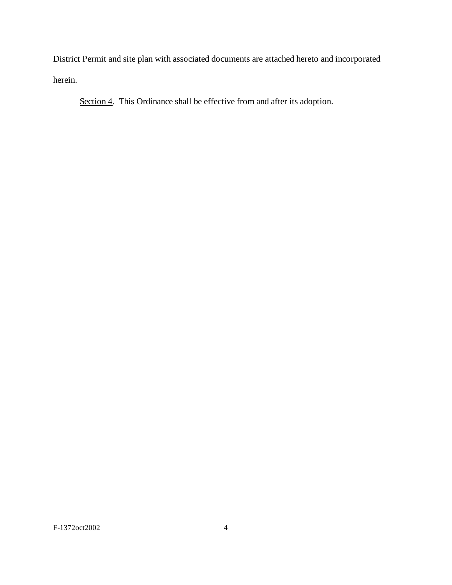District Permit and site plan with associated documents are attached hereto and incorporated herein.

Section 4. This Ordinance shall be effective from and after its adoption.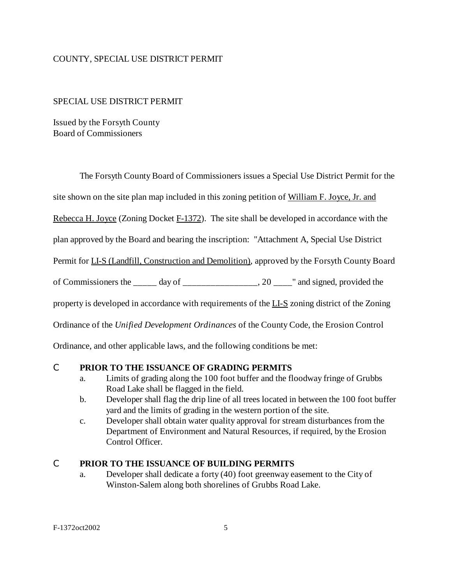#### COUNTY, SPECIAL USE DISTRICT PERMIT

#### SPECIAL USE DISTRICT PERMIT

Issued by the Forsyth County Board of Commissioners

The Forsyth County Board of Commissioners issues a Special Use District Permit for the

site shown on the site plan map included in this zoning petition of William F. Joyce, Jr. and

Rebecca H. Joyce (Zoning Docket F-1372). The site shall be developed in accordance with the

plan approved by the Board and bearing the inscription: "Attachment A, Special Use District

Permit for LI-S (Landfill, Construction and Demolition), approved by the Forsyth County Board

of Commissioners the  $\frac{1}{\sqrt{2}}$  day of  $\frac{1}{\sqrt{2}}$  and signed, provided the

property is developed in accordance with requirements of the LI-S zoning district of the Zoning

Ordinance of the *Unified Development Ordinances* of the County Code, the Erosion Control

Ordinance, and other applicable laws, and the following conditions be met:

#### C **PRIOR TO THE ISSUANCE OF GRADING PERMITS**

- a. Limits of grading along the 100 foot buffer and the floodway fringe of Grubbs Road Lake shall be flagged in the field.
- b. Developer shall flag the drip line of all trees located in between the 100 foot buffer yard and the limits of grading in the western portion of the site.
- c. Developer shall obtain water quality approval for stream disturbances from the Department of Environment and Natural Resources, if required, by the Erosion Control Officer.

#### C **PRIOR TO THE ISSUANCE OF BUILDING PERMITS**

a. Developer shall dedicate a forty (40) foot greenway easement to the City of Winston-Salem along both shorelines of Grubbs Road Lake.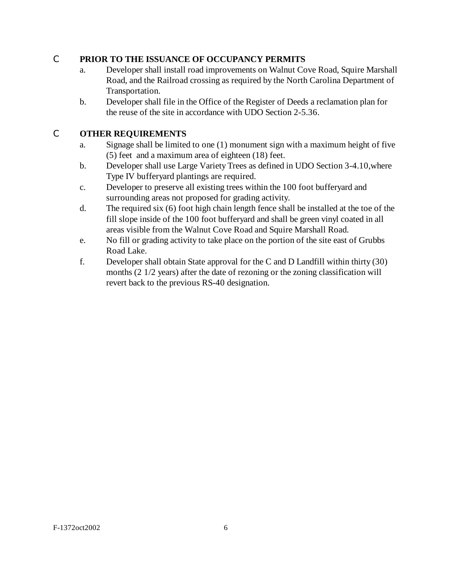#### C **PRIOR TO THE ISSUANCE OF OCCUPANCY PERMITS**

- a. Developer shall install road improvements on Walnut Cove Road, Squire Marshall Road, and the Railroad crossing as required by the North Carolina Department of Transportation.
- b. Developer shall file in the Office of the Register of Deeds a reclamation plan for the reuse of the site in accordance with UDO Section 2-5.36.

## C **OTHER REQUIREMENTS**

- a. Signage shall be limited to one (1) monument sign with a maximum height of five (5) feet and a maximum area of eighteen (18) feet.
- b. Developer shall use Large Variety Trees as defined in UDO Section 3-4.10,where Type IV bufferyard plantings are required.
- c. Developer to preserve all existing trees within the 100 foot bufferyard and surrounding areas not proposed for grading activity.
- d. The required six (6) foot high chain length fence shall be installed at the toe of the fill slope inside of the 100 foot bufferyard and shall be green vinyl coated in all areas visible from the Walnut Cove Road and Squire Marshall Road.
- e. No fill or grading activity to take place on the portion of the site east of Grubbs Road Lake.
- f. Developer shall obtain State approval for the C and D Landfill within thirty (30) months (2 1/2 years) after the date of rezoning or the zoning classification will revert back to the previous RS-40 designation.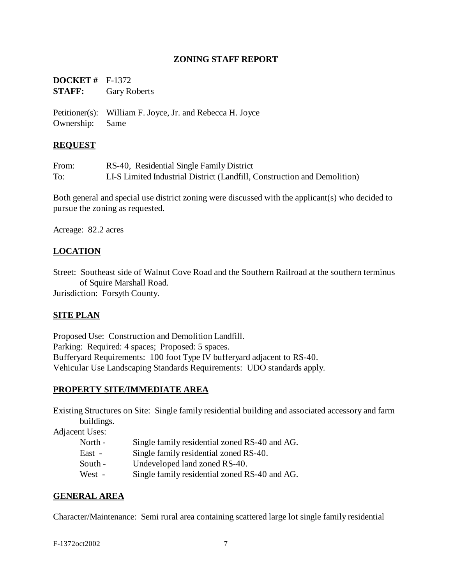#### **ZONING STAFF REPORT**

| <b>DOCKET</b> # $F-1372$ |                     |
|--------------------------|---------------------|
| <b>STAFF:</b>            | <b>Gary Roberts</b> |
|                          |                     |

Petitioner(s): William F. Joyce, Jr. and Rebecca H. Joyce Ownership: Same

#### **REQUEST**

From: RS-40, Residential Single Family District To: LI-S Limited Industrial District (Landfill, Construction and Demolition)

Both general and special use district zoning were discussed with the applicant(s) who decided to pursue the zoning as requested.

Acreage: 82.2 acres

#### **LOCATION**

Street: Southeast side of Walnut Cove Road and the Southern Railroad at the southern terminus of Squire Marshall Road. Jurisdiction: Forsyth County.

#### **SITE PLAN**

Proposed Use: Construction and Demolition Landfill. Parking: Required: 4 spaces; Proposed: 5 spaces. Bufferyard Requirements: 100 foot Type IV bufferyard adjacent to RS-40. Vehicular Use Landscaping Standards Requirements: UDO standards apply.

#### **PROPERTY SITE/IMMEDIATE AREA**

Existing Structures on Site: Single family residential building and associated accessory and farm buildings.

Adjacent Uses:

| North - | Single family residential zoned RS-40 and AG. |
|---------|-----------------------------------------------|
| East -  | Single family residential zoned RS-40.        |
| South - | Undeveloped land zoned RS-40.                 |
| West -  | Single family residential zoned RS-40 and AG. |

#### **GENERAL AREA**

Character/Maintenance: Semi rural area containing scattered large lot single family residential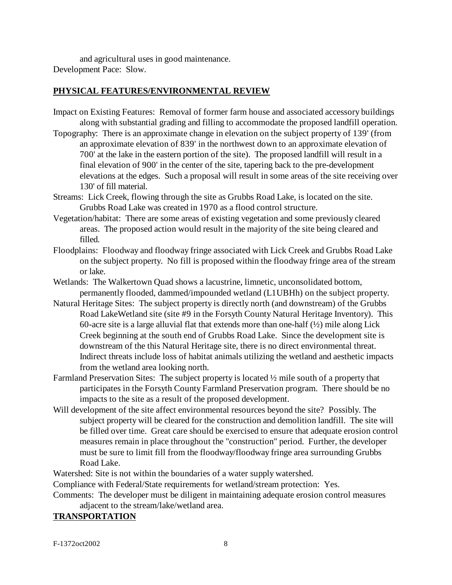and agricultural uses in good maintenance. Development Pace: Slow.

#### **PHYSICAL FEATURES/ENVIRONMENTAL REVIEW**

- Impact on Existing Features: Removal of former farm house and associated accessory buildings along with substantial grading and filling to accommodate the proposed landfill operation.
- Topography: There is an approximate change in elevation on the subject property of 139' (from an approximate elevation of 839' in the northwest down to an approximate elevation of 700' at the lake in the eastern portion of the site). The proposed landfill will result in a final elevation of 900' in the center of the site, tapering back to the pre-development elevations at the edges. Such a proposal will result in some areas of the site receiving over 130' of fill material.
- Streams: Lick Creek, flowing through the site as Grubbs Road Lake, is located on the site. Grubbs Road Lake was created in 1970 as a flood control structure.
- Vegetation/habitat: There are some areas of existing vegetation and some previously cleared areas. The proposed action would result in the majority of the site being cleared and filled.
- Floodplains: Floodway and floodway fringe associated with Lick Creek and Grubbs Road Lake on the subject property. No fill is proposed within the floodway fringe area of the stream or lake.
- Wetlands: The Walkertown Quad shows a lacustrine, limnetic, unconsolidated bottom, permanently flooded, dammed/impounded wetland (L1UBHh) on the subject property.
- Natural Heritage Sites: The subject property is directly north (and downstream) of the Grubbs Road LakeWetland site (site #9 in the Forsyth County Natural Heritage Inventory). This 60-acre site is a large alluvial flat that extends more than one-half  $(\frac{1}{2})$  mile along Lick Creek beginning at the south end of Grubbs Road Lake. Since the development site is downstream of the this Natural Heritage site, there is no direct environmental threat. Indirect threats include loss of habitat animals utilizing the wetland and aesthetic impacts from the wetland area looking north.
- Farmland Preservation Sites: The subject property is located ½ mile south of a property that participates in the Forsyth County Farmland Preservation program. There should be no impacts to the site as a result of the proposed development.
- Will development of the site affect environmental resources beyond the site? Possibly. The subject property will be cleared for the construction and demolition landfill. The site will be filled over time. Great care should be exercised to ensure that adequate erosion control measures remain in place throughout the "construction" period. Further, the developer must be sure to limit fill from the floodway/floodway fringe area surrounding Grubbs Road Lake.

Watershed: Site is not within the boundaries of a water supply watershed.

Compliance with Federal/State requirements for wetland/stream protection: Yes.

Comments: The developer must be diligent in maintaining adequate erosion control measures adjacent to the stream/lake/wetland area.

## **TRANSPORTATION**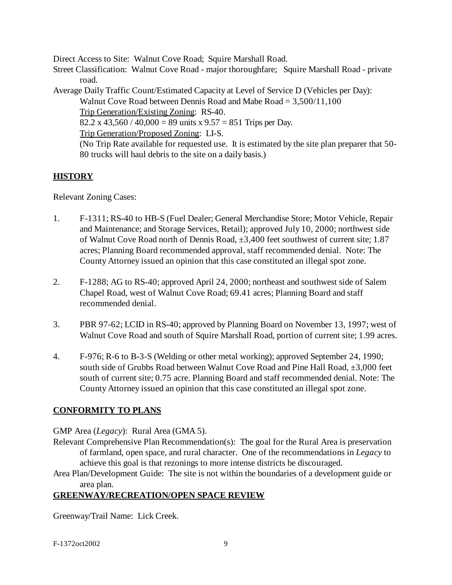Direct Access to Site: Walnut Cove Road; Squire Marshall Road.

Street Classification: Walnut Cove Road - major thoroughfare; Squire Marshall Road - private road.

Average Daily Traffic Count/Estimated Capacity at Level of Service D (Vehicles per Day): Walnut Cove Road between Dennis Road and Mabe Road = 3,500/11,100 Trip Generation/Existing Zoning: RS-40. 82.2 x 43,560 / 40,000 = 89 units x  $9.57 = 851$  Trips per Day. Trip Generation/Proposed Zoning: LI-S. (No Trip Rate available for requested use. It is estimated by the site plan preparer that 50- 80 trucks will haul debris to the site on a daily basis.)

## **HISTORY**

Relevant Zoning Cases:

- 1. F-1311; RS-40 to HB-S (Fuel Dealer; General Merchandise Store; Motor Vehicle, Repair and Maintenance; and Storage Services, Retail); approved July 10, 2000; northwest side of Walnut Cove Road north of Dennis Road, ±3,400 feet southwest of current site; 1.87 acres; Planning Board recommended approval, staff recommended denial. Note: The County Attorney issued an opinion that this case constituted an illegal spot zone.
- 2. F-1288; AG to RS-40; approved April 24, 2000; northeast and southwest side of Salem Chapel Road, west of Walnut Cove Road; 69.41 acres; Planning Board and staff recommended denial.
- 3. PBR 97-62; LCID in RS-40; approved by Planning Board on November 13, 1997; west of Walnut Cove Road and south of Squire Marshall Road, portion of current site; 1.99 acres.
- 4. F-976; R-6 to B-3-S (Welding or other metal working); approved September 24, 1990; south side of Grubbs Road between Walnut Cove Road and Pine Hall Road,  $\pm 3,000$  feet south of current site; 0.75 acre. Planning Board and staff recommended denial. Note: The County Attorney issued an opinion that this case constituted an illegal spot zone.

## **CONFORMITY TO PLANS**

GMP Area (*Legacy*): Rural Area (GMA 5).

- Relevant Comprehensive Plan Recommendation(s): The goal for the Rural Area is preservation of farmland, open space, and rural character. One of the recommendations in *Legacy* to achieve this goal is that rezonings to more intense districts be discouraged.
- Area Plan/Development Guide: The site is not within the boundaries of a development guide or area plan.

## **GREENWAY/RECREATION/OPEN SPACE REVIEW**

Greenway/Trail Name: Lick Creek.

F-1372oct2002 9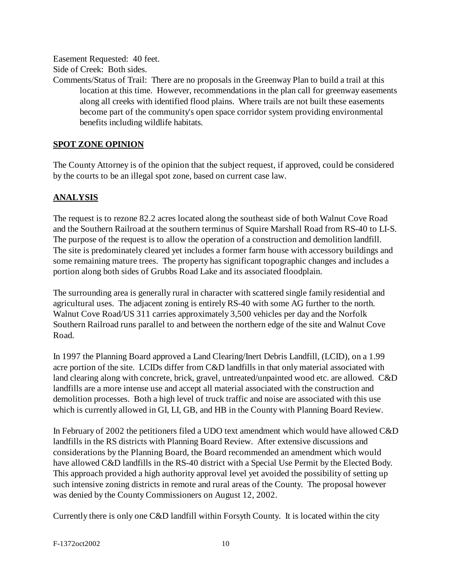Easement Requested: 40 feet.

Side of Creek: Both sides.

Comments/Status of Trail: There are no proposals in the Greenway Plan to build a trail at this location at this time. However, recommendations in the plan call for greenway easements along all creeks with identified flood plains. Where trails are not built these easements become part of the community's open space corridor system providing environmental benefits including wildlife habitats.

#### **SPOT ZONE OPINION**

The County Attorney is of the opinion that the subject request, if approved, could be considered by the courts to be an illegal spot zone, based on current case law.

## **ANALYSIS**

The request is to rezone 82.2 acres located along the southeast side of both Walnut Cove Road and the Southern Railroad at the southern terminus of Squire Marshall Road from RS-40 to LI-S. The purpose of the request is to allow the operation of a construction and demolition landfill. The site is predominately cleared yet includes a former farm house with accessory buildings and some remaining mature trees. The property has significant topographic changes and includes a portion along both sides of Grubbs Road Lake and its associated floodplain.

The surrounding area is generally rural in character with scattered single family residential and agricultural uses. The adjacent zoning is entirely RS-40 with some AG further to the north. Walnut Cove Road/US 311 carries approximately 3,500 vehicles per day and the Norfolk Southern Railroad runs parallel to and between the northern edge of the site and Walnut Cove Road.

In 1997 the Planning Board approved a Land Clearing/Inert Debris Landfill, (LCID), on a 1.99 acre portion of the site. LCIDs differ from C&D landfills in that only material associated with land clearing along with concrete, brick, gravel, untreated/unpainted wood etc. are allowed. C&D landfills are a more intense use and accept all material associated with the construction and demolition processes. Both a high level of truck traffic and noise are associated with this use which is currently allowed in GI, LI, GB, and HB in the County with Planning Board Review.

In February of 2002 the petitioners filed a UDO text amendment which would have allowed C&D landfills in the RS districts with Planning Board Review. After extensive discussions and considerations by the Planning Board, the Board recommended an amendment which would have allowed C&D landfills in the RS-40 district with a Special Use Permit by the Elected Body. This approach provided a high authority approval level yet avoided the possibility of setting up such intensive zoning districts in remote and rural areas of the County. The proposal however was denied by the County Commissioners on August 12, 2002.

Currently there is only one C&D landfill within Forsyth County. It is located within the city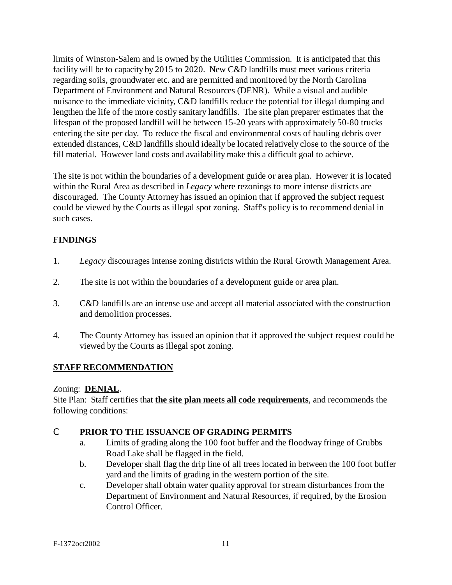limits of Winston-Salem and is owned by the Utilities Commission. It is anticipated that this facility will be to capacity by 2015 to 2020. New C&D landfills must meet various criteria regarding soils, groundwater etc. and are permitted and monitored by the North Carolina Department of Environment and Natural Resources (DENR). While a visual and audible nuisance to the immediate vicinity, C&D landfills reduce the potential for illegal dumping and lengthen the life of the more costly sanitary landfills. The site plan preparer estimates that the lifespan of the proposed landfill will be between 15-20 years with approximately 50-80 trucks entering the site per day. To reduce the fiscal and environmental costs of hauling debris over extended distances, C&D landfills should ideally be located relatively close to the source of the fill material. However land costs and availability make this a difficult goal to achieve.

The site is not within the boundaries of a development guide or area plan. However it is located within the Rural Area as described in *Legacy* where rezonings to more intense districts are discouraged. The County Attorney has issued an opinion that if approved the subject request could be viewed by the Courts as illegal spot zoning. Staff's policy is to recommend denial in such cases.

## **FINDINGS**

- 1. *Legacy* discourages intense zoning districts within the Rural Growth Management Area.
- 2. The site is not within the boundaries of a development guide or area plan.
- 3. C&D landfills are an intense use and accept all material associated with the construction and demolition processes.
- 4. The County Attorney has issued an opinion that if approved the subject request could be viewed by the Courts as illegal spot zoning.

## **STAFF RECOMMENDATION**

#### Zoning: **DENIAL**.

Site Plan: Staff certifies that **the site plan meets all code requirements**, and recommends the following conditions:

#### C **PRIOR TO THE ISSUANCE OF GRADING PERMITS**

- a. Limits of grading along the 100 foot buffer and the floodway fringe of Grubbs Road Lake shall be flagged in the field.
- b. Developer shall flag the drip line of all trees located in between the 100 foot buffer yard and the limits of grading in the western portion of the site.
- c. Developer shall obtain water quality approval for stream disturbances from the Department of Environment and Natural Resources, if required, by the Erosion Control Officer.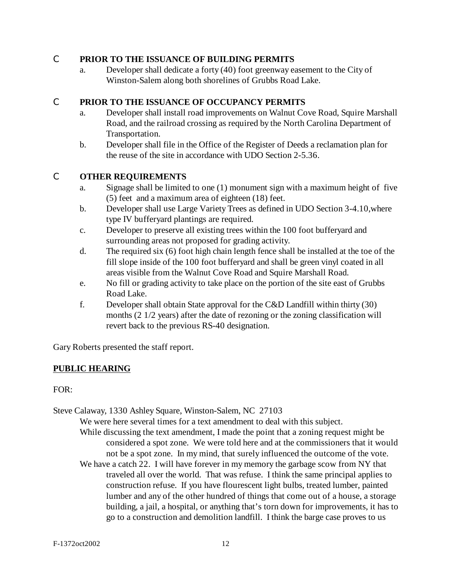#### C **PRIOR TO THE ISSUANCE OF BUILDING PERMITS**

a. Developer shall dedicate a forty (40) foot greenway easement to the City of Winston-Salem along both shorelines of Grubbs Road Lake.

#### C **PRIOR TO THE ISSUANCE OF OCCUPANCY PERMITS**

- a. Developer shall install road improvements on Walnut Cove Road, Squire Marshall Road, and the railroad crossing as required by the North Carolina Department of Transportation.
- b. Developer shall file in the Office of the Register of Deeds a reclamation plan for the reuse of the site in accordance with UDO Section 2-5.36.

#### C **OTHER REQUIREMENTS**

- a. Signage shall be limited to one (1) monument sign with a maximum height of five (5) feet and a maximum area of eighteen (18) feet.
- b. Developer shall use Large Variety Trees as defined in UDO Section 3-4.10,where type IV bufferyard plantings are required.
- c. Developer to preserve all existing trees within the 100 foot bufferyard and surrounding areas not proposed for grading activity.
- d. The required six (6) foot high chain length fence shall be installed at the toe of the fill slope inside of the 100 foot bufferyard and shall be green vinyl coated in all areas visible from the Walnut Cove Road and Squire Marshall Road.
- e. No fill or grading activity to take place on the portion of the site east of Grubbs Road Lake.
- f. Developer shall obtain State approval for the C&D Landfill within thirty (30) months (2 1/2 years) after the date of rezoning or the zoning classification will revert back to the previous RS-40 designation.

Gary Roberts presented the staff report.

## **PUBLIC HEARING**

FOR:

Steve Calaway, 1330 Ashley Square, Winston-Salem, NC 27103

We were here several times for a text amendment to deal with this subject.

- While discussing the text amendment, I made the point that a zoning request might be considered a spot zone. We were told here and at the commissioners that it would not be a spot zone. In my mind, that surely influenced the outcome of the vote.
- We have a catch 22. I will have forever in my memory the garbage scow from NY that traveled all over the world. That was refuse. I think the same principal applies to construction refuse. If you have flourescent light bulbs, treated lumber, painted lumber and any of the other hundred of things that come out of a house, a storage building, a jail, a hospital, or anything that's torn down for improvements, it has to go to a construction and demolition landfill. I think the barge case proves to us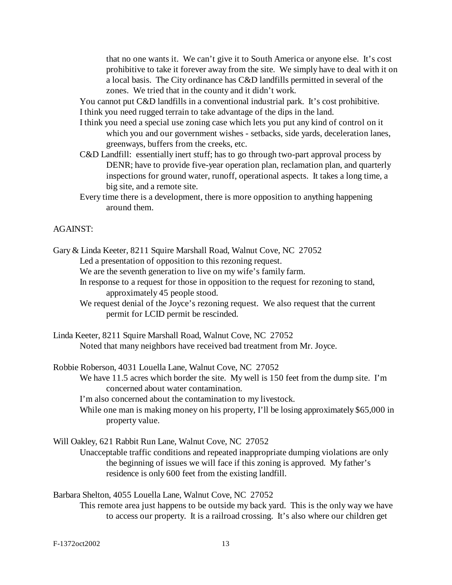that no one wants it. We can't give it to South America or anyone else. It's cost prohibitive to take it forever away from the site. We simply have to deal with it on a local basis. The City ordinance has C&D landfills permitted in several of the zones. We tried that in the county and it didn't work.

You cannot put C&D landfills in a conventional industrial park. It's cost prohibitive. I think you need rugged terrain to take advantage of the dips in the land.

- I think you need a special use zoning case which lets you put any kind of control on it which you and our government wishes - setbacks, side yards, deceleration lanes, greenways, buffers from the creeks, etc.
- C&D Landfill: essentially inert stuff; has to go through two-part approval process by DENR; have to provide five-year operation plan, reclamation plan, and quarterly inspections for ground water, runoff, operational aspects. It takes a long time, a big site, and a remote site.
- Every time there is a development, there is more opposition to anything happening around them.

#### AGAINST:

- Gary & Linda Keeter, 8211 Squire Marshall Road, Walnut Cove, NC 27052 Led a presentation of opposition to this rezoning request.
	- We are the seventh generation to live on my wife's family farm.
	- In response to a request for those in opposition to the request for rezoning to stand, approximately 45 people stood.
	- We request denial of the Joyce's rezoning request. We also request that the current permit for LCID permit be rescinded.
- Linda Keeter, 8211 Squire Marshall Road, Walnut Cove, NC 27052 Noted that many neighbors have received bad treatment from Mr. Joyce.

Robbie Roberson, 4031 Louella Lane, Walnut Cove, NC 27052

We have 11.5 acres which border the site. My well is 150 feet from the dump site. I'm concerned about water contamination.

I'm also concerned about the contamination to my livestock.

While one man is making money on his property, I'll be losing approximately \$65,000 in property value.

Will Oakley, 621 Rabbit Run Lane, Walnut Cove, NC 27052

Unacceptable traffic conditions and repeated inappropriate dumping violations are only the beginning of issues we will face if this zoning is approved. My father's residence is only 600 feet from the existing landfill.

Barbara Shelton, 4055 Louella Lane, Walnut Cove, NC 27052 This remote area just happens to be outside my back yard. This is the only way we have to access our property. It is a railroad crossing. It's also where our children get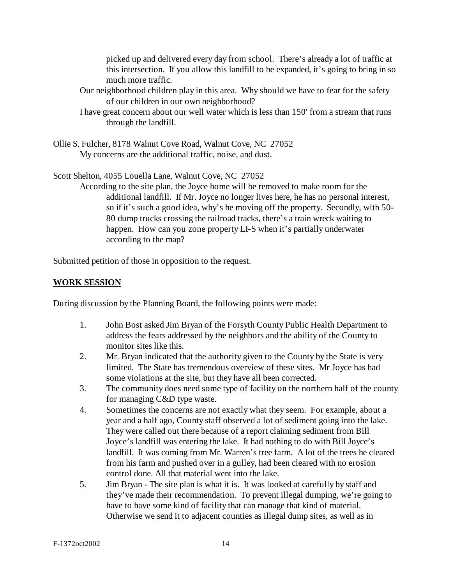picked up and delivered every day from school. There's already a lot of traffic at this intersection. If you allow this landfill to be expanded, it's going to bring in so much more traffic.

- Our neighborhood children play in this area. Why should we have to fear for the safety of our children in our own neighborhood?
- I have great concern about our well water which is less than 150' from a stream that runs through the landfill.
- Ollie S. Fulcher, 8178 Walnut Cove Road, Walnut Cove, NC 27052 My concerns are the additional traffic, noise, and dust.

Scott Shelton, 4055 Louella Lane, Walnut Cove, NC 27052

According to the site plan, the Joyce home will be removed to make room for the additional landfill. If Mr. Joyce no longer lives here, he has no personal interest, so if it's such a good idea, why's he moving off the property. Secondly, with 50- 80 dump trucks crossing the railroad tracks, there's a train wreck waiting to happen. How can you zone property LI-S when it's partially underwater according to the map?

Submitted petition of those in opposition to the request.

## **WORK SESSION**

During discussion by the Planning Board, the following points were made:

- 1. John Bost asked Jim Bryan of the Forsyth County Public Health Department to address the fears addressed by the neighbors and the ability of the County to monitor sites like this.
- 2. Mr. Bryan indicated that the authority given to the County by the State is very limited. The State has tremendous overview of these sites. Mr Joyce has had some violations at the site, but they have all been corrected.
- 3. The community does need some type of facility on the northern half of the county for managing C&D type waste.
- 4. Sometimes the concerns are not exactly what they seem. For example, about a year and a half ago, County staff observed a lot of sediment going into the lake. They were called out there because of a report claiming sediment from Bill Joyce's landfill was entering the lake. It had nothing to do with Bill Joyce's landfill. It was coming from Mr. Warren's tree farm. A lot of the trees he cleared from his farm and pushed over in a gulley, had been cleared with no erosion control done. All that material went into the lake.
- 5. Jim Bryan The site plan is what it is. It was looked at carefully by staff and they've made their recommendation. To prevent illegal dumping, we're going to have to have some kind of facility that can manage that kind of material. Otherwise we send it to adjacent counties as illegal dump sites, as well as in